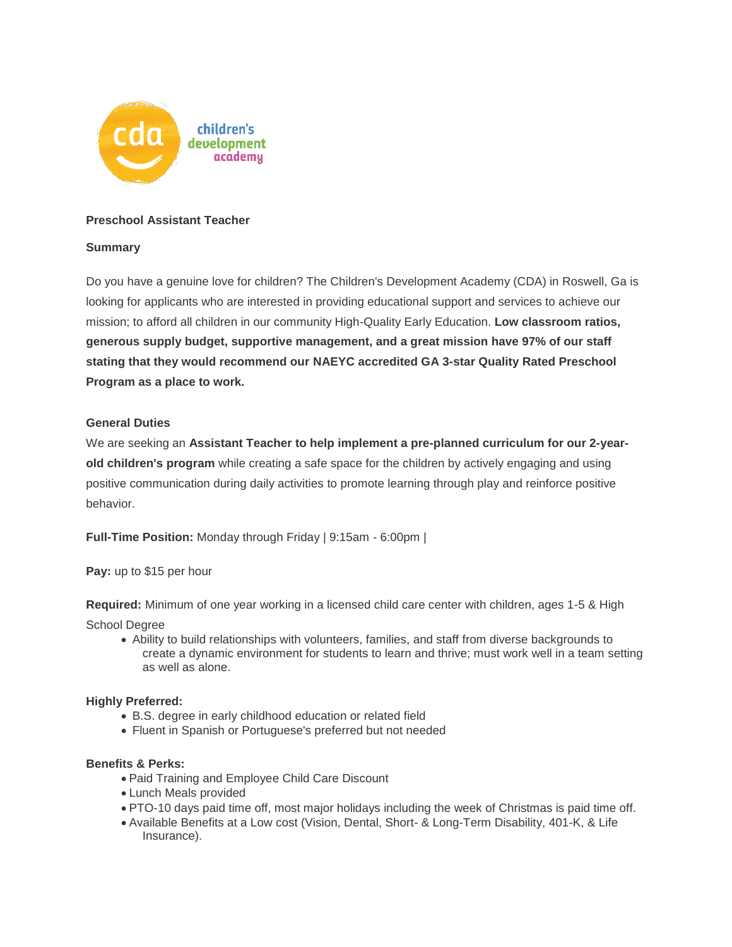

# **Preschool Assistant Teacher**

# **Summary**

Do you have a genuine love for children? The Children's Development Academy (CDA) in Roswell, Ga is looking for applicants who are interested in providing educational support and services to achieve our mission; to afford all children in our community High-Quality Early Education. **Low classroom ratios, generous supply budget, supportive management, and a great mission have 97% of our staff stating that they would recommend our NAEYC accredited GA 3-star Quality Rated Preschool Program as a place to work.** 

## **General Duties**

We are seeking an **Assistant Teacher to help implement a pre-planned curriculum for our 2-yearold children's program** while creating a safe space for the children by actively engaging and using positive communication during daily activities to promote learning through play and reinforce positive behavior.

**Full-Time Position:** Monday through Friday | 9:15am - 6:00pm |

**Pay:** up to \$15 per hour

**Required:** Minimum of one year working in a licensed child care center with children, ages 1-5 & High

School Degree

 Ability to build relationships with volunteers, families, and staff from diverse backgrounds to create a dynamic environment for students to learn and thrive; must work well in a team setting as well as alone.

## **Highly Preferred:**

- B.S. degree in early childhood education or related field
- Fluent in Spanish or Portuguese's preferred but not needed

## **Benefits & Perks:**

- Paid Training and Employee Child Care Discount
- Lunch Meals provided
- PTO-10 days paid time off, most major holidays including the week of Christmas is paid time off.
- Available Benefits at a Low cost (Vision, Dental, Short- & Long-Term Disability, 401-K, & Life Insurance).